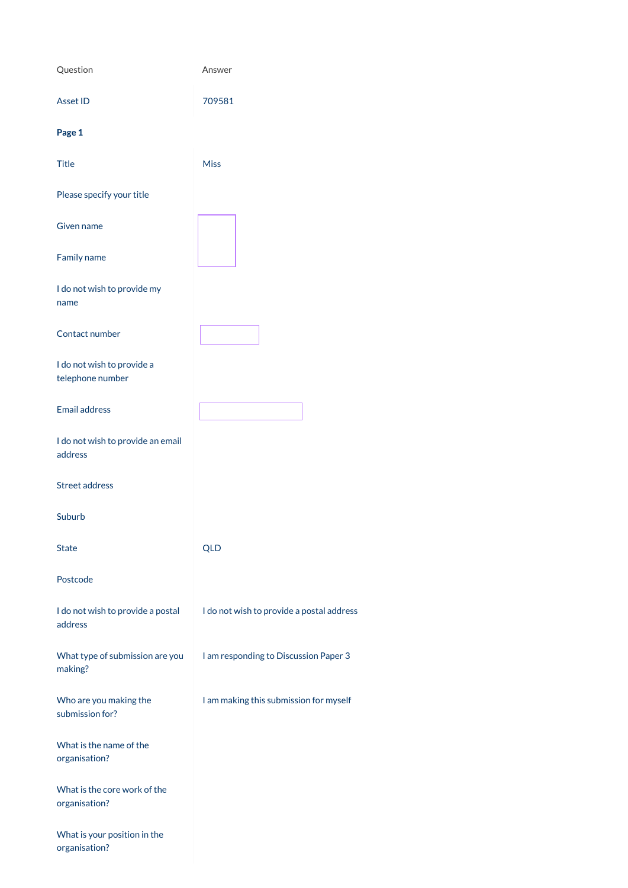| Question                                       | Answer                                    |
|------------------------------------------------|-------------------------------------------|
| <b>Asset ID</b>                                | 709581                                    |
| Page 1                                         |                                           |
| <b>Title</b>                                   | <b>Miss</b>                               |
| Please specify your title                      |                                           |
| <b>Given name</b>                              |                                           |
| Family name                                    |                                           |
| I do not wish to provide my<br>name            |                                           |
| Contact number                                 |                                           |
| I do not wish to provide a<br>telephone number |                                           |
| <b>Email address</b>                           |                                           |
| I do not wish to provide an email<br>address   |                                           |
| <b>Street address</b>                          |                                           |
| Suburb                                         |                                           |
| <b>State</b>                                   | <b>QLD</b>                                |
| Postcode                                       |                                           |
| I do not wish to provide a postal<br>address   | I do not wish to provide a postal address |
| What type of submission are you                | I am responding to Discussion Paper 3     |

making?

Who are you making the submission for?

I am making this submission for myself

What is the name of the organisation?

What is the core work of the organisation?

What is your position in the organisation?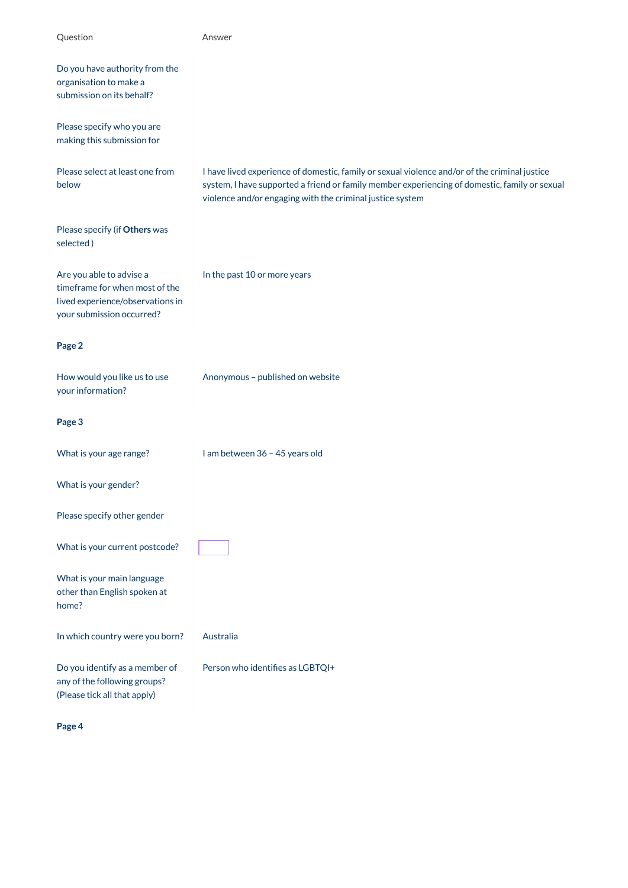| Question                                                                                                                    | Answer                                                                                                                                                                                                                                                      |
|-----------------------------------------------------------------------------------------------------------------------------|-------------------------------------------------------------------------------------------------------------------------------------------------------------------------------------------------------------------------------------------------------------|
| Do you have authority from the<br>organisation to make a<br>submission on its behalf?                                       |                                                                                                                                                                                                                                                             |
| Please specify who you are<br>making this submission for                                                                    |                                                                                                                                                                                                                                                             |
| Please select at least one from<br>below                                                                                    | I have lived experience of domestic, family or sexual violence and/or of the criminal justice<br>system, I have supported a friend or family member experiencing of domestic, family or sexual<br>violence and/or engaging with the criminal justice system |
| Please specify (if Others was<br>selected)                                                                                  |                                                                                                                                                                                                                                                             |
| Are you able to advise a<br>timeframe for when most of the<br>lived experience/observations in<br>your submission occurred? | In the past 10 or more years                                                                                                                                                                                                                                |
| Page 2                                                                                                                      |                                                                                                                                                                                                                                                             |
| How would you like us to use<br>your information?                                                                           | Anonymous - published on website                                                                                                                                                                                                                            |
| Page 3                                                                                                                      |                                                                                                                                                                                                                                                             |
| What is your age range?                                                                                                     | I am between 36 - 45 years old                                                                                                                                                                                                                              |
| What is your gender?                                                                                                        |                                                                                                                                                                                                                                                             |
| Please specify other gender                                                                                                 |                                                                                                                                                                                                                                                             |
| What is your current postcode?                                                                                              |                                                                                                                                                                                                                                                             |
| What is your main language<br>other than English spoken at<br>home?                                                         |                                                                                                                                                                                                                                                             |
| In which country were you born?                                                                                             | Australia                                                                                                                                                                                                                                                   |
| Do you identify as a member of                                                                                              | Person who identifies as LGBTQI+                                                                                                                                                                                                                            |

any of the following groups? (Please tick all that apply)

**Page 4**